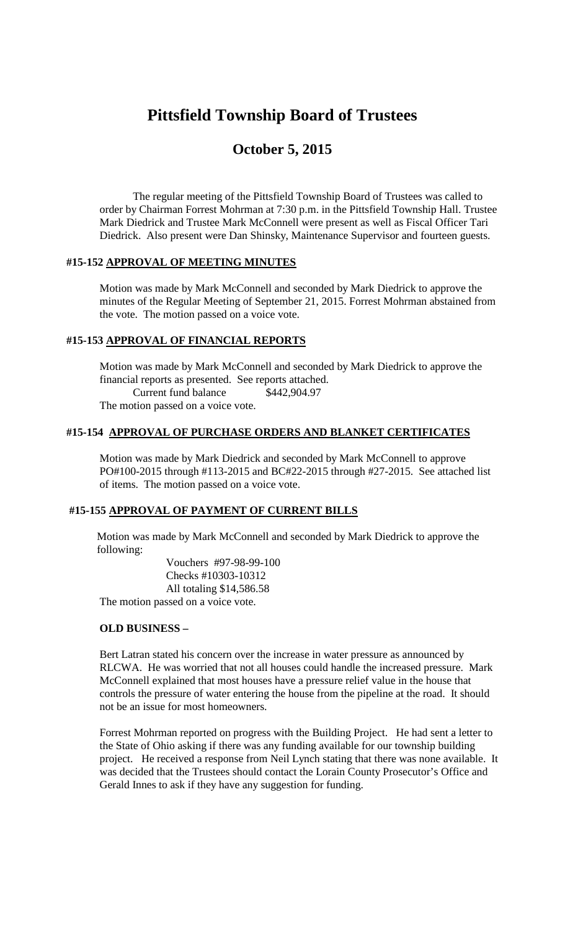# **Pittsfield Township Board of Trustees**

# **October 5, 2015**

The regular meeting of the Pittsfield Township Board of Trustees was called to order by Chairman Forrest Mohrman at 7:30 p.m. in the Pittsfield Township Hall. Trustee Mark Diedrick and Trustee Mark McConnell were present as well as Fiscal Officer Tari Diedrick. Also present were Dan Shinsky, Maintenance Supervisor and fourteen guests.

### **#15-152 APPROVAL OF MEETING MINUTES**

Motion was made by Mark McConnell and seconded by Mark Diedrick to approve the minutes of the Regular Meeting of September 21, 2015. Forrest Mohrman abstained from the vote. The motion passed on a voice vote.

#### **#15-153 APPROVAL OF FINANCIAL REPORTS**

Motion was made by Mark McConnell and seconded by Mark Diedrick to approve the financial reports as presented. See reports attached. Current fund balance \$442,904.97 The motion passed on a voice vote.

# **#15-154 APPROVAL OF PURCHASE ORDERS AND BLANKET CERTIFICATES**

Motion was made by Mark Diedrick and seconded by Mark McConnell to approve PO#100-2015 through #113-2015 and BC#22-2015 through #27-2015. See attached list of items. The motion passed on a voice vote.

# **#15-155 APPROVAL OF PAYMENT OF CURRENT BILLS**

Motion was made by Mark McConnell and seconded by Mark Diedrick to approve the following:

Vouchers #97-98-99-100 Checks #10303-10312 All totaling \$14,586.58 The motion passed on a voice vote.

#### **OLD BUSINESS –**

Bert Latran stated his concern over the increase in water pressure as announced by RLCWA. He was worried that not all houses could handle the increased pressure. Mark McConnell explained that most houses have a pressure relief value in the house that controls the pressure of water entering the house from the pipeline at the road. It should not be an issue for most homeowners.

Forrest Mohrman reported on progress with the Building Project. He had sent a letter to the State of Ohio asking if there was any funding available for our township building project. He received a response from Neil Lynch stating that there was none available. It was decided that the Trustees should contact the Lorain County Prosecutor's Office and Gerald Innes to ask if they have any suggestion for funding.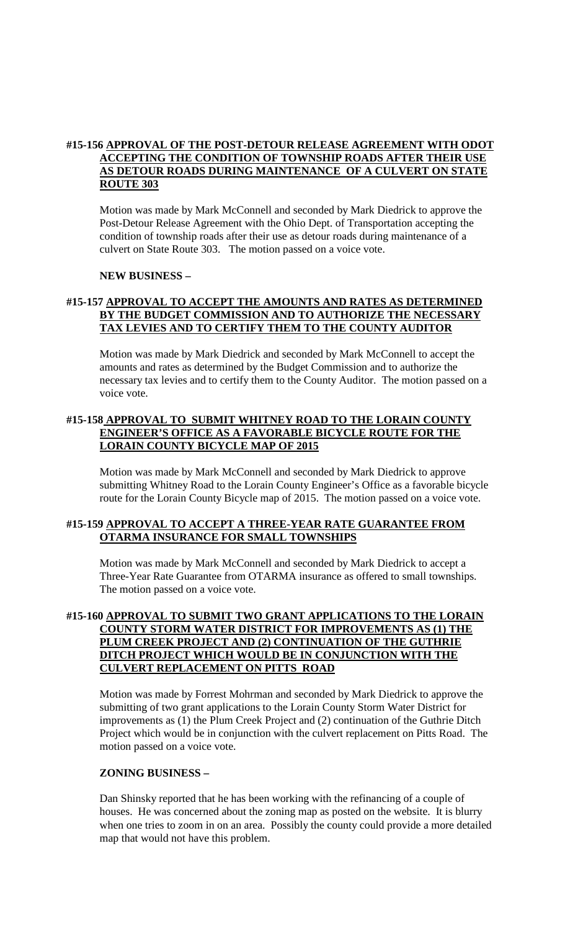### **#15-156 APPROVAL OF THE POST-DETOUR RELEASE AGREEMENT WITH ODOT ACCEPTING THE CONDITION OF TOWNSHIP ROADS AFTER THEIR USE AS DETOUR ROADS DURING MAINTENANCE OF A CULVERT ON STATE ROUTE 303**

Motion was made by Mark McConnell and seconded by Mark Diedrick to approve the Post-Detour Release Agreement with the Ohio Dept. of Transportation accepting the condition of township roads after their use as detour roads during maintenance of a culvert on State Route 303. The motion passed on a voice vote.

#### **NEW BUSINESS –**

# **#15-157 APPROVAL TO ACCEPT THE AMOUNTS AND RATES AS DETERMINED BY THE BUDGET COMMISSION AND TO AUTHORIZE THE NECESSARY TAX LEVIES AND TO CERTIFY THEM TO THE COUNTY AUDITOR**

Motion was made by Mark Diedrick and seconded by Mark McConnell to accept the amounts and rates as determined by the Budget Commission and to authorize the necessary tax levies and to certify them to the County Auditor. The motion passed on a voice vote.

# **#15-158 APPROVAL TO SUBMIT WHITNEY ROAD TO THE LORAIN COUNTY ENGINEER'S OFFICE AS A FAVORABLE BICYCLE ROUTE FOR THE LORAIN COUNTY BICYCLE MAP OF 2015**

Motion was made by Mark McConnell and seconded by Mark Diedrick to approve submitting Whitney Road to the Lorain County Engineer's Office as a favorable bicycle route for the Lorain County Bicycle map of 2015. The motion passed on a voice vote.

### **#15-159 APPROVAL TO ACCEPT A THREE-YEAR RATE GUARANTEE FROM OTARMA INSURANCE FOR SMALL TOWNSHIPS**

Motion was made by Mark McConnell and seconded by Mark Diedrick to accept a Three-Year Rate Guarantee from OTARMA insurance as offered to small townships. The motion passed on a voice vote.

### **#15-160 APPROVAL TO SUBMIT TWO GRANT APPLICATIONS TO THE LORAIN COUNTY STORM WATER DISTRICT FOR IMPROVEMENTS AS (1) THE PLUM CREEK PROJECT AND (2) CONTINUATION OF THE GUTHRIE DITCH PROJECT WHICH WOULD BE IN CONJUNCTION WITH THE CULVERT REPLACEMENT ON PITTS ROAD**

Motion was made by Forrest Mohrman and seconded by Mark Diedrick to approve the submitting of two grant applications to the Lorain County Storm Water District for improvements as (1) the Plum Creek Project and (2) continuation of the Guthrie Ditch Project which would be in conjunction with the culvert replacement on Pitts Road. The motion passed on a voice vote.

#### **ZONING BUSINESS –**

Dan Shinsky reported that he has been working with the refinancing of a couple of houses. He was concerned about the zoning map as posted on the website. It is blurry when one tries to zoom in on an area. Possibly the county could provide a more detailed map that would not have this problem.